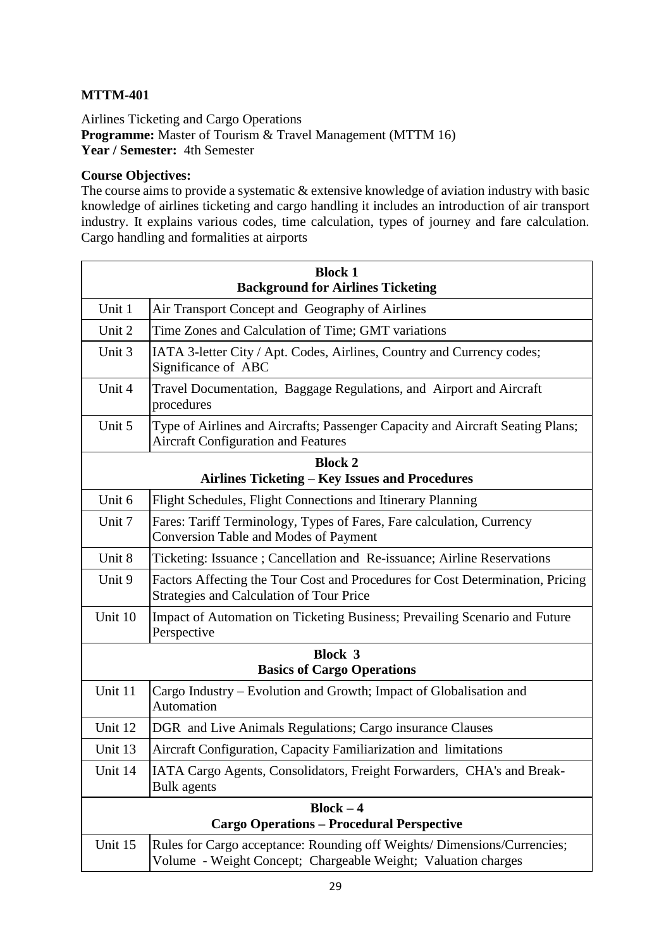## **MTTM-401**

Airlines Ticketing and Cargo Operations **Programme:** Master of Tourism & Travel Management (MTTM 16) **Year / Semester:** 4th Semester

## **Course Objectives:**

The course aims to provide a systematic & extensive knowledge of aviation industry with basic knowledge of airlines ticketing and cargo handling it includes an introduction of air transport industry. It explains various codes, time calculation, types of journey and fare calculation. Cargo handling and formalities at airports

| <b>Block 1</b>                                                  |                                                                                                                                           |  |
|-----------------------------------------------------------------|-------------------------------------------------------------------------------------------------------------------------------------------|--|
| <b>Background for Airlines Ticketing</b>                        |                                                                                                                                           |  |
| Unit 1                                                          | Air Transport Concept and Geography of Airlines                                                                                           |  |
| Unit 2                                                          | Time Zones and Calculation of Time; GMT variations                                                                                        |  |
| Unit 3                                                          | IATA 3-letter City / Apt. Codes, Airlines, Country and Currency codes;<br>Significance of ABC                                             |  |
| Unit 4                                                          | Travel Documentation, Baggage Regulations, and Airport and Aircraft<br>procedures                                                         |  |
| Unit 5                                                          | Type of Airlines and Aircrafts; Passenger Capacity and Aircraft Seating Plans;<br><b>Aircraft Configuration and Features</b>              |  |
| <b>Block 2</b>                                                  |                                                                                                                                           |  |
| Airlines Ticketing - Key Issues and Procedures                  |                                                                                                                                           |  |
| Unit 6                                                          | Flight Schedules, Flight Connections and Itinerary Planning                                                                               |  |
| Unit 7                                                          | Fares: Tariff Terminology, Types of Fares, Fare calculation, Currency<br><b>Conversion Table and Modes of Payment</b>                     |  |
| Unit 8                                                          | Ticketing: Issuance ; Cancellation and Re-issuance; Airline Reservations                                                                  |  |
| Unit 9                                                          | Factors Affecting the Tour Cost and Procedures for Cost Determination, Pricing<br>Strategies and Calculation of Tour Price                |  |
| Unit 10                                                         | Impact of Automation on Ticketing Business; Prevailing Scenario and Future<br>Perspective                                                 |  |
| <b>Block 3</b>                                                  |                                                                                                                                           |  |
| <b>Basics of Cargo Operations</b>                               |                                                                                                                                           |  |
| Unit 11                                                         | Cargo Industry – Evolution and Growth; Impact of Globalisation and<br>Automation                                                          |  |
| Unit 12                                                         | DGR and Live Animals Regulations; Cargo insurance Clauses                                                                                 |  |
| Unit 13                                                         | Aircraft Configuration, Capacity Familiarization and limitations                                                                          |  |
| Unit 14                                                         | IATA Cargo Agents, Consolidators, Freight Forwarders, CHA's and Break-<br>Bulk agents                                                     |  |
| $Block - 4$<br><b>Cargo Operations - Procedural Perspective</b> |                                                                                                                                           |  |
| Unit 15                                                         | Rules for Cargo acceptance: Rounding off Weights/ Dimensions/Currencies;<br>Volume - Weight Concept; Chargeable Weight; Valuation charges |  |